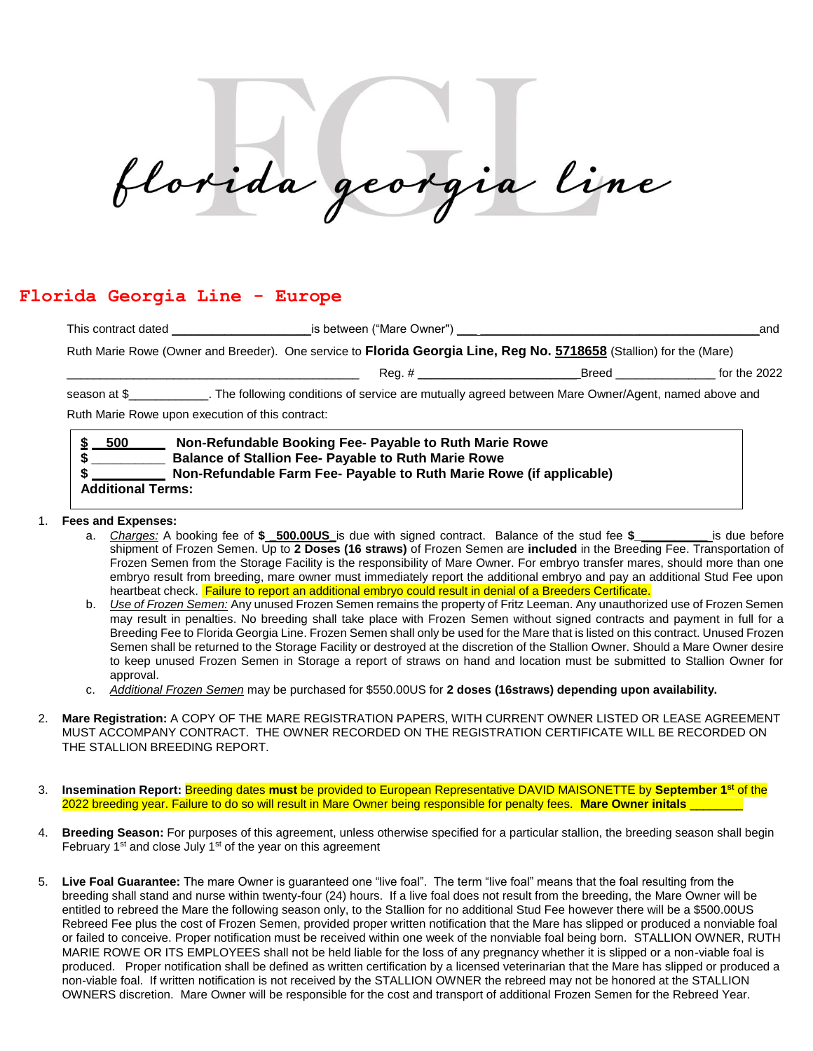florida georgia line

## **Florida Georgia Line - Europe**

| Non-Refundable Booking Fee- Payable to Ruth Marie Rowe                                                                                                                                                                         |                                                                                                                |                |
|--------------------------------------------------------------------------------------------------------------------------------------------------------------------------------------------------------------------------------|----------------------------------------------------------------------------------------------------------------|----------------|
| Ruth Marie Rowe upon execution of this contract:                                                                                                                                                                               |                                                                                                                |                |
| season at \$______________. The following conditions of service are mutually agreed between Mare Owner/Agent, named above and                                                                                                  |                                                                                                                |                |
| Reg. # _______________________                                                                                                                                                                                                 | Breed and the state of the state of the state of the state of the state of the state of the state of the state | for the $2022$ |
| Ruth Marie Rowe (Owner and Breeder). One service to Florida Georgia Line, Reg No. 5718658 (Stallion) for the (Mare)                                                                                                            |                                                                                                                |                |
| This contract dated This contract of the state of the state of the state of the state of the state of the state of the state of the state of the state of the state of the state of the state of the state of the state of the |                                                                                                                | and            |

 **\$ \_\_\_\_\_\_\_\_\_\_ Balance of Stallion Fee- Payable to Ruth Marie Rowe \$ Non-Refundable Farm Fee- Payable to Ruth Marie Rowe (if applicable) Additional Terms:**

- 1. **Fees and Expenses:** 
	- a. *Charges:* A booking fee of **\$ \_500.00US\_**is due with signed contract. Balance of the stud fee **\$\_\_\_\_\_\_\_\_\_\_\_** is due before shipment of Frozen Semen. Up to **2 Doses (16 straws)** of Frozen Semen are **included** in the Breeding Fee. Transportation of Frozen Semen from the Storage Facility is the responsibility of Mare Owner. For embryo transfer mares, should more than one embryo result from breeding, mare owner must immediately report the additional embryo and pay an additional Stud Fee upon heartbeat check. Failure to report an additional embryo could result in denial of a Breeders Certificate.
	- b. *Use of Frozen Semen:* Any unused Frozen Semen remains the property of Fritz Leeman. Any unauthorized use of Frozen Semen may result in penalties. No breeding shall take place with Frozen Semen without signed contracts and payment in full for a Breeding Fee to Florida Georgia Line. Frozen Semen shall only be used for the Mare that is listed on this contract. Unused Frozen Semen shall be returned to the Storage Facility or destroyed at the discretion of the Stallion Owner. Should a Mare Owner desire to keep unused Frozen Semen in Storage a report of straws on hand and location must be submitted to Stallion Owner for approval.
	- c. *Additional Frozen Semen* may be purchased for \$550.00US for **2 doses (16straws) depending upon availability.**
- 2. **Mare Registration:** A COPY OF THE MARE REGISTRATION PAPERS, WITH CURRENT OWNER LISTED OR LEASE AGREEMENT MUST ACCOMPANY CONTRACT. THE OWNER RECORDED ON THE REGISTRATION CERTIFICATE WILL BE RECORDED ON THE STALLION BREEDING REPORT.
- 3. **Insemination Report:** Breeding dates **must** be provided to European Representative DAVID MAISONETTE by **September 1st** of the 2022 breeding year. Failure to do so will result in Mare Owner being responsible for penalty fees. **Mare Owner initals** \_\_\_\_\_\_\_\_
- 4. **Breeding Season:** For purposes of this agreement, unless otherwise specified for a particular stallion, the breeding season shall begin February  $1<sup>st</sup>$  and close July  $1<sup>st</sup>$  of the year on this agreement
- 5. **Live Foal Guarantee:** The mare Owner is guaranteed one "live foal". The term "live foal" means that the foal resulting from the breeding shall stand and nurse within twenty-four (24) hours. If a live foal does not result from the breeding, the Mare Owner will be entitled to rebreed the Mare the following season only, to the Stallion for no additional Stud Fee however there will be a \$500.00US Rebreed Fee plus the cost of Frozen Semen, provided proper written notification that the Mare has slipped or produced a nonviable foal or failed to conceive. Proper notification must be received within one week of the nonviable foal being born. STALLION OWNER, RUTH MARIE ROWE OR ITS EMPLOYEES shall not be held liable for the loss of any pregnancy whether it is slipped or a non-viable foal is produced. Proper notification shall be defined as written certification by a licensed veterinarian that the Mare has slipped or produced a non-viable foal. If written notification is not received by the STALLION OWNER the rebreed may not be honored at the STALLION OWNERS discretion. Mare Owner will be responsible for the cost and transport of additional Frozen Semen for the Rebreed Year.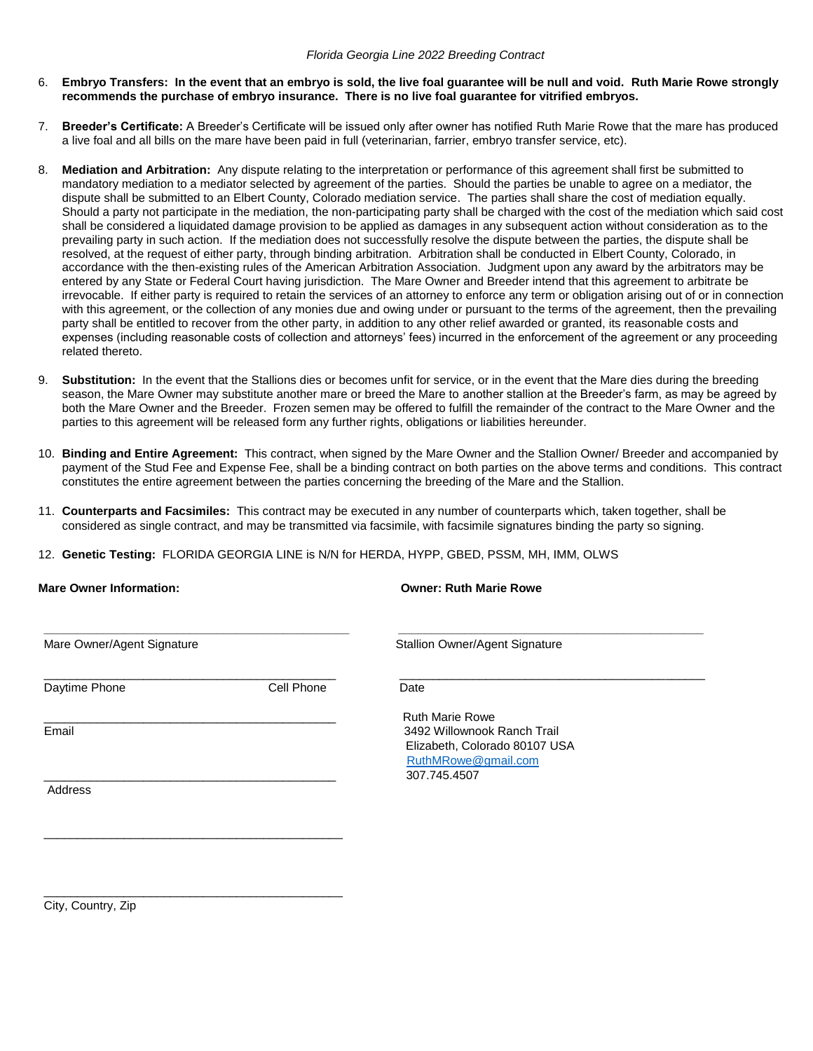- 6. **Embryo Transfers: In the event that an embryo is sold, the live foal guarantee will be null and void. Ruth Marie Rowe strongly recommends the purchase of embryo insurance. There is no live foal guarantee for vitrified embryos.**
- 7. **Breeder's Certificate:** A Breeder's Certificate will be issued only after owner has notified Ruth Marie Rowe that the mare has produced a live foal and all bills on the mare have been paid in full (veterinarian, farrier, embryo transfer service, etc).
- 8. **Mediation and Arbitration:** Any dispute relating to the interpretation or performance of this agreement shall first be submitted to mandatory mediation to a mediator selected by agreement of the parties. Should the parties be unable to agree on a mediator, the dispute shall be submitted to an Elbert County, Colorado mediation service. The parties shall share the cost of mediation equally. Should a party not participate in the mediation, the non-participating party shall be charged with the cost of the mediation which said cost shall be considered a liquidated damage provision to be applied as damages in any subsequent action without consideration as to the prevailing party in such action. If the mediation does not successfully resolve the dispute between the parties, the dispute shall be resolved, at the request of either party, through binding arbitration. Arbitration shall be conducted in Elbert County, Colorado, in accordance with the then-existing rules of the American Arbitration Association. Judgment upon any award by the arbitrators may be entered by any State or Federal Court having jurisdiction. The Mare Owner and Breeder intend that this agreement to arbitrate be irrevocable. If either party is required to retain the services of an attorney to enforce any term or obligation arising out of or in connection with this agreement, or the collection of any monies due and owing under or pursuant to the terms of the agreement, then the prevailing party shall be entitled to recover from the other party, in addition to any other relief awarded or granted, its reasonable costs and expenses (including reasonable costs of collection and attorneys' fees) incurred in the enforcement of the agreement or any proceeding related thereto.
- 9. **Substitution:** In the event that the Stallions dies or becomes unfit for service, or in the event that the Mare dies during the breeding season, the Mare Owner may substitute another mare or breed the Mare to another stallion at the Breeder's farm, as may be agreed by both the Mare Owner and the Breeder. Frozen semen may be offered to fulfill the remainder of the contract to the Mare Owner and the parties to this agreement will be released form any further rights, obligations or liabilities hereunder.
- 10. **Binding and Entire Agreement:** This contract, when signed by the Mare Owner and the Stallion Owner/ Breeder and accompanied by payment of the Stud Fee and Expense Fee, shall be a binding contract on both parties on the above terms and conditions. This contract constitutes the entire agreement between the parties concerning the breeding of the Mare and the Stallion.
- 11. **Counterparts and Facsimiles:** This contract may be executed in any number of counterparts which, taken together, shall be considered as single contract, and may be transmitted via facsimile, with facsimile signatures binding the party so signing.
- 12. **Genetic Testing:** FLORIDA GEORGIA LINE is N/N for HERDA, HYPP, GBED, PSSM, MH, IMM, OLWS

| <b>Mare Owner Information:</b> |            | <b>Owner: Ruth Marie Rowe</b>                                                                                                 |  |
|--------------------------------|------------|-------------------------------------------------------------------------------------------------------------------------------|--|
| Mare Owner/Agent Signature     |            | Stallion Owner/Agent Signature                                                                                                |  |
| Daytime Phone                  | Cell Phone | Date                                                                                                                          |  |
| Email                          |            | <b>Ruth Marie Rowe</b><br>3492 Willownook Ranch Trail<br>Elizabeth, Colorado 80107 USA<br>RuthMRowe@gmail.com<br>307.745.4507 |  |
| Address                        |            |                                                                                                                               |  |
|                                |            |                                                                                                                               |  |

City, Country, Zip

\_\_\_\_\_\_\_\_\_\_\_\_\_\_\_\_\_\_\_\_\_\_\_\_\_\_\_\_\_\_\_\_\_\_\_\_\_\_\_\_\_\_\_\_\_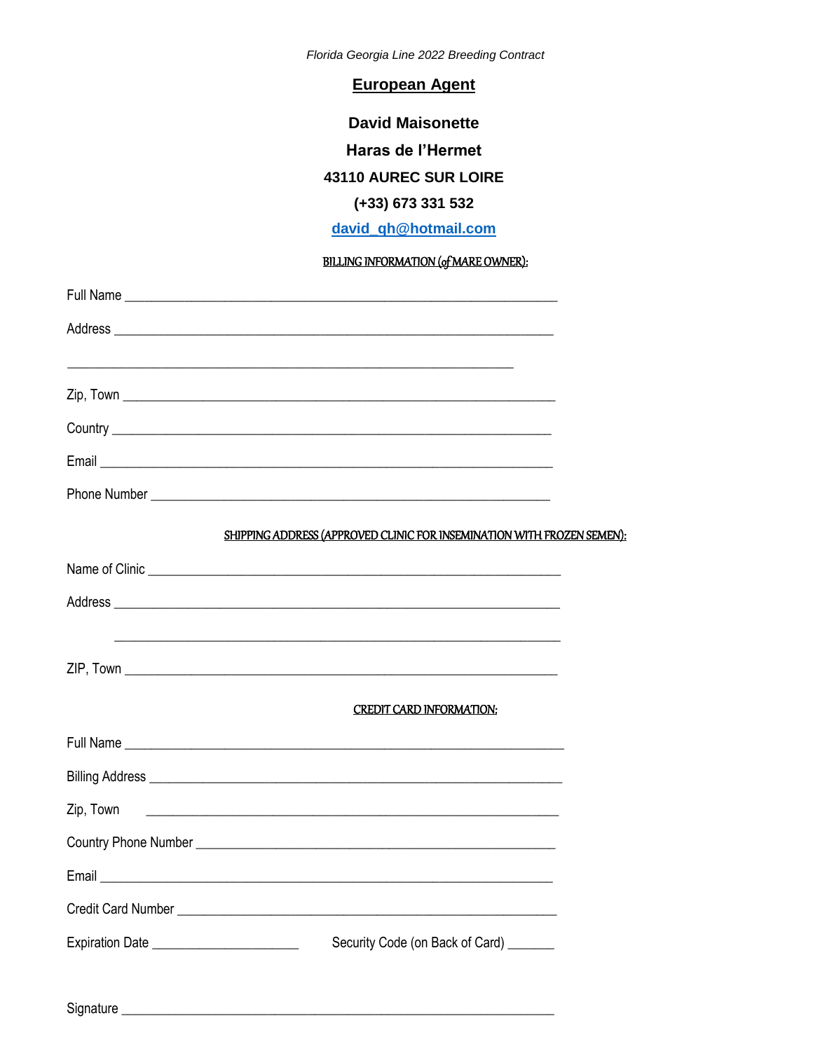Florida Georgia Line 2022 Breeding Contract

**European Agent** 

**David Maisonette** Haras de l'Hermet

### 43110 AUREC SUR LOIRE

## (+33) 673 331 532

# david\_qh@hotmail.com

### **BILLING INFORMATION (of MARE OWNER):**

|                                           | Full Name                                                                                                             |  |
|-------------------------------------------|-----------------------------------------------------------------------------------------------------------------------|--|
|                                           |                                                                                                                       |  |
|                                           | <u> 1989 - Johann Harry Harry Harry Harry Harry Harry Harry Harry Harry Harry Harry Harry Harry Harry Harry Harry</u> |  |
|                                           |                                                                                                                       |  |
|                                           |                                                                                                                       |  |
|                                           |                                                                                                                       |  |
|                                           |                                                                                                                       |  |
|                                           | SHIPPING ADDRESS (APPROVED CLINIC FOR INSEMINATION WITH FROZEN SEMEN):                                                |  |
|                                           |                                                                                                                       |  |
|                                           |                                                                                                                       |  |
|                                           |                                                                                                                       |  |
|                                           |                                                                                                                       |  |
|                                           | <b>CREDIT CARD INFORMATION:</b>                                                                                       |  |
|                                           |                                                                                                                       |  |
|                                           |                                                                                                                       |  |
| Zip, Town                                 | <u> 1980 - Johann Harry Harry Harry Harry Harry Harry Harry Harry Harry Harry Harry Harry Harry Harry Harry Harry</u> |  |
|                                           |                                                                                                                       |  |
|                                           |                                                                                                                       |  |
|                                           |                                                                                                                       |  |
| Expiration Date _________________________ | Security Code (on Back of Card) _______                                                                               |  |
|                                           |                                                                                                                       |  |